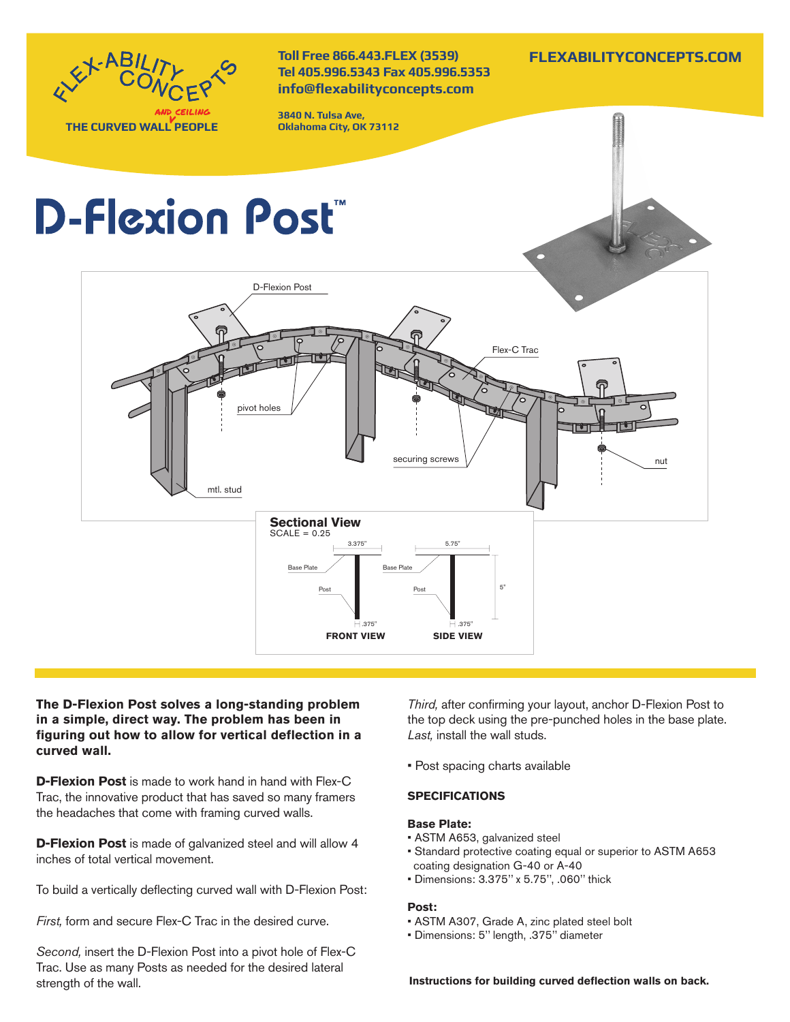

**The D-Flexion Post solves a long-standing problem in a simple, direct way. The problem has been in figuring out how to allow for vertical deflection in a curved wall.** 

**D-Flexion Post** is made to work hand in hand with Flex-C Trac, the innovative product that has saved so many framers the headaches that come with framing curved walls.

**D-Flexion Post** is made of galvanized steel and will allow 4 inches of total vertical movement.

To build a vertically deflecting curved wall with D-Flexion Post:

*First,* form and secure Flex-C Trac in the desired curve.

*Second,* insert the D-Flexion Post into a pivot hole of Flex-C Trac. Use as many Posts as needed for the desired lateral strength of the wall.

*Third,* after confirming your layout, anchor D-Flexion Post to the top deck using the pre-punched holes in the base plate. *Last,* install the wall studs.

• Post spacing charts available

# **SPECIFICATIONS**

# **Base Plate:**

- ASTM A653, galvanized steel
- Standard protective coating equal or superior to ASTM A653 coating designation G-40 or A-40
- Dimensions: 3.375'' x 5.75'', .060'' thick

# **Post:**

- ASTM A307, Grade A, zinc plated steel bolt
- Dimensions: 5'' length, .375'' diameter

**Instructions for building curved deflection walls on back.**